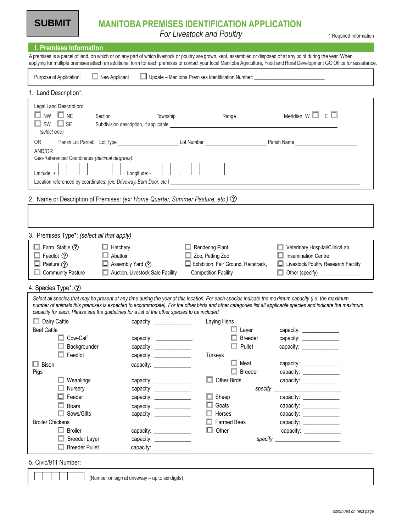**SUBMIT**

For Livestock and Poultry **Follow Contains a Container Contains a Contains a Contains a Required Information** 

| I. Premises Information<br>A premises is a parcel of land, on which or on any part of which livestock or poultry are grown, kept, assembled or disposed of at any point during the year. When                                                                                |                                                                                                                |                                                                                  |                                                                                                                                                                                                                                |
|------------------------------------------------------------------------------------------------------------------------------------------------------------------------------------------------------------------------------------------------------------------------------|----------------------------------------------------------------------------------------------------------------|----------------------------------------------------------------------------------|--------------------------------------------------------------------------------------------------------------------------------------------------------------------------------------------------------------------------------|
|                                                                                                                                                                                                                                                                              |                                                                                                                |                                                                                  | applying for multiple premises attach an additional form for each premises or contact your local Manitoba Agriculture, Food and Rural Development GO Office for assistance                                                     |
| $\Box$ New Applicant<br>Purpose of Application:                                                                                                                                                                                                                              |                                                                                                                | Update – Manitoba Premises Identification Number: ______________________________ |                                                                                                                                                                                                                                |
| 1. Land Description*:                                                                                                                                                                                                                                                        |                                                                                                                |                                                                                  |                                                                                                                                                                                                                                |
| Legal Land Description:<br>$\Box$ NW $\Box$ NE<br>$\Box$ SW $\Box$ SE<br>(select one)                                                                                                                                                                                        |                                                                                                                |                                                                                  | Meridian $W \Box E \Box$                                                                                                                                                                                                       |
| <b>OR</b>                                                                                                                                                                                                                                                                    |                                                                                                                |                                                                                  |                                                                                                                                                                                                                                |
| AND/OR<br>Geo-Referenced Coordinates (decimal degrees):<br>Latitude: +                                                                                                                                                                                                       | Longitude: -                                                                                                   |                                                                                  |                                                                                                                                                                                                                                |
| 2. Name or Description of Premises: (ex: Home Quarter, Summer Pasture, etc.) 2                                                                                                                                                                                               |                                                                                                                |                                                                                  |                                                                                                                                                                                                                                |
|                                                                                                                                                                                                                                                                              |                                                                                                                |                                                                                  |                                                                                                                                                                                                                                |
|                                                                                                                                                                                                                                                                              |                                                                                                                |                                                                                  |                                                                                                                                                                                                                                |
| 3. Premises Type*: (select all that apply)                                                                                                                                                                                                                                   |                                                                                                                |                                                                                  |                                                                                                                                                                                                                                |
| $\Box$ Farm, Stable $\odot$<br>$\Box$ Hatchery<br>$\Box$ Feedlot $\odot$                                                                                                                                                                                                     | Abattoir                                                                                                       | $\Box$ Rendering Plant<br>$\Box$ Zoo, Petting Zoo                                | Veterinary Hospital/Clinic/Lab<br><b>Insemination Centre</b>                                                                                                                                                                   |
| $\Box$ Pasture $\odot$                                                                                                                                                                                                                                                       | Assembly Yard (?)                                                                                              | Exhibition, Fair Ground, Racetrack,                                              | Livestock/Poultry Research Facility                                                                                                                                                                                            |
| <b>Community Pasture</b>                                                                                                                                                                                                                                                     | Auction, Livestock Sale Facility                                                                               | <b>Competition Facility</b>                                                      | Other (specify) _______________                                                                                                                                                                                                |
|                                                                                                                                                                                                                                                                              |                                                                                                                |                                                                                  |                                                                                                                                                                                                                                |
| 4. Species Type*: ②<br>Select all species that may be present at any time during the year at this location. For each species indicate the maximum capacity (i.e. the maximum<br>capacity for each. Please see the guidelines for a list of the other species to be included. |                                                                                                                |                                                                                  | number of animals this premises is expected to accommodate). For the other birds and other categories list all applicable species and indicate the maximum                                                                     |
|                                                                                                                                                                                                                                                                              |                                                                                                                |                                                                                  |                                                                                                                                                                                                                                |
| $\Box$ Dairy Cattle<br><b>Beef Cattle</b>                                                                                                                                                                                                                                    | capacity: _____________                                                                                        | Laying Hens<br>$\Box$ Layer                                                      | capacity: ________________                                                                                                                                                                                                     |
| $\Box$ Cow-Calf                                                                                                                                                                                                                                                              | capacity: example a series of the series of the series of the series of the series of the series of the series | <b>Breeder</b>                                                                   |                                                                                                                                                                                                                                |
| Backgrounder                                                                                                                                                                                                                                                                 | capacity:                                                                                                      | Pullet                                                                           | capacity:                                                                                                                                                                                                                      |
| $\Box$ Feedlot                                                                                                                                                                                                                                                               | capacity: <u>_________________</u>                                                                             | Turkeys                                                                          |                                                                                                                                                                                                                                |
| $\Box$ Bison                                                                                                                                                                                                                                                                 | capacity: ________________                                                                                     | Meat                                                                             |                                                                                                                                                                                                                                |
| Pigs                                                                                                                                                                                                                                                                         |                                                                                                                | Breeder                                                                          |                                                                                                                                                                                                                                |
| $\Box$ Weanlings                                                                                                                                                                                                                                                             | capacity:                                                                                                      | <b>Other Birds</b>                                                               | capacity:                                                                                                                                                                                                                      |
| Nursery                                                                                                                                                                                                                                                                      | capacity:                                                                                                      | specify                                                                          |                                                                                                                                                                                                                                |
| Feeder                                                                                                                                                                                                                                                                       | capacity:                                                                                                      | Sheep                                                                            |                                                                                                                                                                                                                                |
| Boars                                                                                                                                                                                                                                                                        | capacity: _______________                                                                                      | Goats                                                                            |                                                                                                                                                                                                                                |
| Sows/Gilts                                                                                                                                                                                                                                                                   |                                                                                                                | Horses                                                                           | capacity: ______________                                                                                                                                                                                                       |
| <b>Broiler Chickens</b>                                                                                                                                                                                                                                                      |                                                                                                                | <b>Farmed Bees</b>                                                               |                                                                                                                                                                                                                                |
| $\Box$ Broiler                                                                                                                                                                                                                                                               | capacity: ________________                                                                                     | Other                                                                            | capacity: ________________                                                                                                                                                                                                     |
| <b>Breeder Layer</b>                                                                                                                                                                                                                                                         | capacity: _______________                                                                                      |                                                                                  | specify specify the contract of the contract of the contract of the contract of the contract of the contract of the contract of the contract of the contract of the contract of the contract of the contract of the contract o |
| <b>Breeder Pullet</b>                                                                                                                                                                                                                                                        | capacity: ________________                                                                                     |                                                                                  |                                                                                                                                                                                                                                |
| 5. Civic/911 Number:                                                                                                                                                                                                                                                         |                                                                                                                |                                                                                  |                                                                                                                                                                                                                                |
|                                                                                                                                                                                                                                                                              | (Number on sign at driveway - up to six digits)                                                                |                                                                                  |                                                                                                                                                                                                                                |